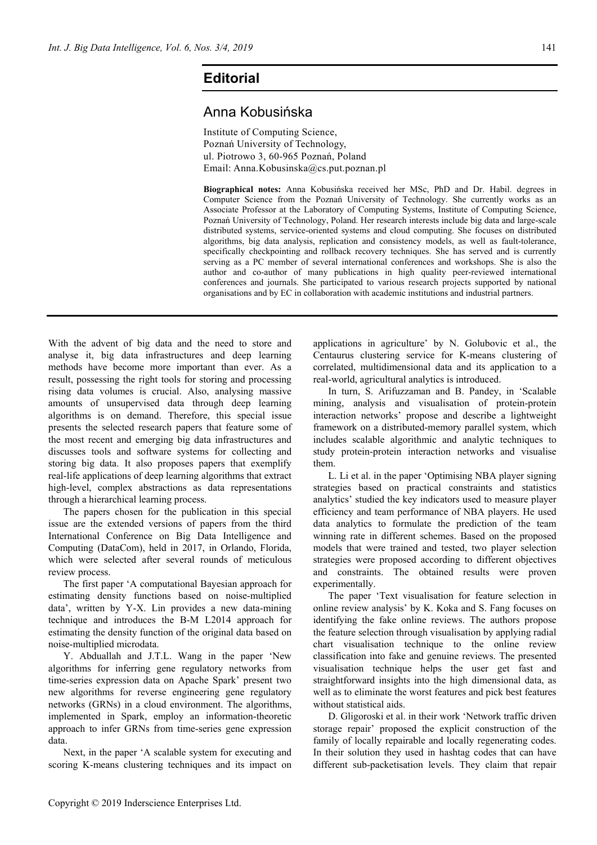## **Editorial**

## Anna Kobusińska

Institute of Computing Science, Poznań University of Technology, ul. Piotrowo 3, 60-965 Poznań, Poland Email: Anna.Kobusinska@cs.put.poznan.pl

**Biographical notes:** Anna Kobusińska received her MSc, PhD and Dr. Habil. degrees in Computer Science from the Poznań University of Technology. She currently works as an Associate Professor at the Laboratory of Computing Systems, Institute of Computing Science, Poznań University of Technology, Poland. Her research interests include big data and large-scale distributed systems, service-oriented systems and cloud computing. She focuses on distributed algorithms, big data analysis, replication and consistency models, as well as fault-tolerance, specifically checkpointing and rollback recovery techniques. She has served and is currently serving as a PC member of several international conferences and workshops. She is also the author and co-author of many publications in high quality peer-reviewed international conferences and journals. She participated to various research projects supported by national organisations and by EC in collaboration with academic institutions and industrial partners.

With the advent of big data and the need to store and analyse it, big data infrastructures and deep learning methods have become more important than ever. As a result, possessing the right tools for storing and processing rising data volumes is crucial. Also, analysing massive amounts of unsupervised data through deep learning algorithms is on demand. Therefore, this special issue presents the selected research papers that feature some of the most recent and emerging big data infrastructures and discusses tools and software systems for collecting and storing big data. It also proposes papers that exemplify real-life applications of deep learning algorithms that extract high-level, complex abstractions as data representations through a hierarchical learning process.

The papers chosen for the publication in this special issue are the extended versions of papers from the third International Conference on Big Data Intelligence and Computing (DataCom), held in 2017, in Orlando, Florida, which were selected after several rounds of meticulous review process.

The first paper 'A computational Bayesian approach for estimating density functions based on noise-multiplied data', written by Y-X. Lin provides a new data-mining technique and introduces the B-M L2014 approach for estimating the density function of the original data based on noise-multiplied microdata.

Y. Abduallah and J.T.L. Wang in the paper 'New algorithms for inferring gene regulatory networks from time-series expression data on Apache Spark' present two new algorithms for reverse engineering gene regulatory networks (GRNs) in a cloud environment. The algorithms, implemented in Spark, employ an information-theoretic approach to infer GRNs from time-series gene expression data.

Next, in the paper 'A scalable system for executing and scoring K-means clustering techniques and its impact on

applications in agriculture' by N. Golubovic et al., the Centaurus clustering service for K-means clustering of correlated, multidimensional data and its application to a real-world, agricultural analytics is introduced.

In turn, S. Arifuzzaman and B. Pandey, in 'Scalable mining, analysis and visualisation of protein-protein interaction networks' propose and describe a lightweight framework on a distributed-memory parallel system, which includes scalable algorithmic and analytic techniques to study protein-protein interaction networks and visualise them.

L. Li et al. in the paper 'Optimising NBA player signing strategies based on practical constraints and statistics analytics' studied the key indicators used to measure player efficiency and team performance of NBA players. He used data analytics to formulate the prediction of the team winning rate in different schemes. Based on the proposed models that were trained and tested, two player selection strategies were proposed according to different objectives and constraints. The obtained results were proven experimentally.

The paper 'Text visualisation for feature selection in online review analysis' by K. Koka and S. Fang focuses on identifying the fake online reviews. The authors propose the feature selection through visualisation by applying radial chart visualisation technique to the online review classification into fake and genuine reviews. The presented visualisation technique helps the user get fast and straightforward insights into the high dimensional data, as well as to eliminate the worst features and pick best features without statistical aids.

D. Gligoroski et al. in their work 'Network traffic driven storage repair' proposed the explicit construction of the family of locally repairable and locally regenerating codes. In their solution they used in hashtag codes that can have different sub-packetisation levels. They claim that repair